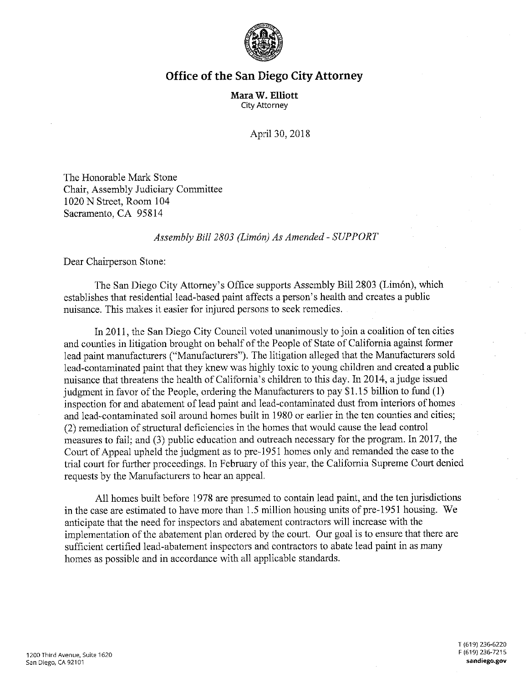

## **Office of the San Diego City Attorney**

**Mara W. Elliott**  City Attorney

April 30, 2018

The Honorable Mark Stone Chair, Assembly Judiciary Committee 1020 N Street, Room 104 Sacramento, CA 95814

## *Assembly Bill 2803 (Limon) As Amended- SUPPORT*

Dear Chairperson Stone:

The San Diego City Attorney's Office supports Assembly Bill 2803 (Limón), which establishes that residential lead-based paint affects a person's health and creates a public nuisance. This makes it easier for injured persons to seek remedies.

In 2011, the San Diego City Council voted unanimously to join a coalition of ten cities and counties in litigation brought on behalf of the People of State of California against former lead paint manufacturers ("Manufacturers"). The litigation alleged that the Manufacturers sold lead-contaminated paint that they knew was highly toxic to young children and created a public nuisance that threatens the health of California's children to this day. In 2014, a judge issued judgment in favor of the People, ordering the Manufacturers to pay \$1.15 billion to fund (1) inspection for and abatement of lead paint and lead-contaminated dust from interiors of homes and lead-contaminated soil around homes built in 1980 or earlier in the ten counties and cities; (2) remediation of structural deficiencies in the homes that would cause the lead control measures to fail; and (3) public education and outreach necessary for the program. In 2017, the Court of Appeal upheld the judgment as to pre-1951 homes only and remanded the case to the trial court for further proceedings. In February of this year, the California Supreme Court denied requests by the Manufacturers to hear an appeal.

All homes built before 1978 are presumed to contain lead paint, and the ten jurisdictions in the case are estimated to have more than 1.5 million housing units of pre-1951 housing. We anticipate that the need for inspectors and abatement contractors will increase with the implementation of the abatement plan ordered by the court. Our goal is to ensure that there are sufficient certified lead-abatement inspectors and contractors to abate lead paint in as many homes as possible and in accordance with all applicable standards.

T (619) 236-6220 F (619) 236-7215 **sandiego.gov**